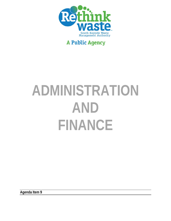

# **A Public Agency**

# **ADMINISTRATION AND FINANCE**

**Agenda Item 9**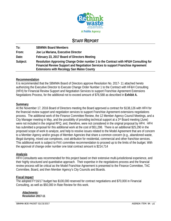

## **STAFF REPORT**

**To: SBWMA Board Members From: Joe La Mariana, Executive Director Date: February 23, 2017 Board of Directors Meeting Subject: Resolution Approving Change Order number 1 to the Contract with HF&H Consulting for Financial Review Support and Negotiation Services to support Franchise Agreement Extensions with Recology San Mateo County** 

## **Recommendation**

It is recommended that the SBWMA Board of Directors approve Resolution No. 2017- 11 attached hereto authorizing the Executive Director to Execute Change Order Number 1 to the Contract with HF&H Consulting (HFH) for Financial Review Support and Negotiation Services to support Franchise Agreement Extensions Negotiations Process, for the additional not to exceed amount of \$76,588 as described in **Exhibit A.**

#### **Summary**

At the November 17, 2016 Board of Directors meeting the Board approved a contract for \$138,126 with HFH for the financial review support and negotiation services to support Franchise Agreement extensions negotiations process. The additional work of the Finance Committee Review, the 12 Member Agency Council Meetings, and a City Manager meeting in May, and the possibility of providing technical support at a 3rd Board meeting (June) were not included in the original RFQ, and, therefore, were not considered in the original proposal by HFH. HFH has submitted a proposal for this additional work at the cost of \$51,298. There is an additional \$25,290 in the proposed scope of work to analyze, and help to resolve issues related to the Model Agreement that are of concern to a Member Agency and/or groups of Member Agencies that share a common concern (e.g., abandoned waste, illegal dumping, mixed use complexes, cost attribution for residential, commercial and other franchise services. This additional work is subject to FAX committee recommendation to proceed up to the limits of the budget. With the approval of change order number one total contract amount is \$214,714

## **Analysis**

HFH Consultants was recommended for this project based on their extensive multi-jurisdictional experience, and their highly structured and quantitative approach. Their expertise in the negotiations process and the financial review process will be critical as the Model Franchise Agreement is presented to the Finance Committee, TAC Committee, Board, and then Member Agency's City Councils and Boards.

#### **Fiscal Impact**

The adopted FY16/17 budget has \$100,000 reserved for contract negotiations and \$70,000 in Financial Consulting, as well as \$50,000 in Rate Review for this work.

*Attachments:*  **Resolution 2017-11**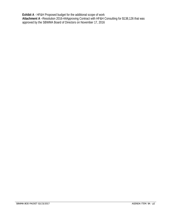**Exhibit A** - HF&H Proposed budget for the additional scope of work **Attachment A** –Resolution 2016-44Approving Contract with HF&H Consulting for \$138,126 that was approved by the SBWMA Board of Directors on November 17, 2016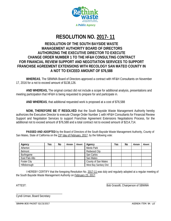

## **RESOLUTION NO. 2017- 11**

## **RESOLUTION OF THE SOUTH BAYSIDE WASTE MANAGEMENT AUTHORITY BOARD OF DIRECTORS AUTHORIZING THE EXECUTIVE DIRECTOR TO EXECUTE CHANGE ORDER NUMBER 1 TO THE HF&H CONSULTING CONTRACT FOR FINANCIAL REVIEW SUPPORT AND NEGOTIATION SERVICES TO SUPPORT FRANCHISE AGREEMENT EXTENSIONS WITH RECOLOGY SAN MATEO COUNTY IN A NOT TO EXCEED AMOUNT OF \$76,588**

**WHEREAS**, The SBWMA Board of Directors approved a contract with HF&H Consultants on November 17, 2016 for a not to exceed amount of \$138,126.

**AND WHEREAS,** The original contact did not include a scope for additional analysis, presentations and meeting participation that HF&H is being requested to prepare for and participate in.

**AND WHEREAS**, that additional requested work is proposed at a cost of \$76,588

**NOW, THEREFORE BE IT RESOLVED** that the South Bayside Waste Management Authority hereby authorizes the Executive Director to execute Change Order Number 1 with HF&H Consultants for Financial Review Support and Negotiation Services to support Franchise Agreement Extensions Negotiations Process, for the additional not to exceed amount of \$76,588 and a total contract not to exceed amount of \$214,714.

 **PASSED AND ADOPTED** by the Board of Directors of the South Bayside Waste Management Authority, County of San Mateo, State of California on the 23<sup>rd</sup> day of February, 2017, by the following vote:

| Agency             | Yes | No | Abstain | Absent | Agency                 | Yes | No | Abstain | Absent |
|--------------------|-----|----|---------|--------|------------------------|-----|----|---------|--------|
| Atherton           |     |    |         |        | Menlo Park             |     |    |         |        |
| Belmont            |     |    |         |        | Redwood City           |     |    |         |        |
| Burlingame         |     |    |         |        | San Carlos             |     |    |         |        |
| East Palo Alto     |     |    |         |        | San Mateo              |     |    |         |        |
| <b>Foster City</b> |     |    |         |        | County of San Mateo    |     |    |         |        |
| Hillsborough       |     |    |         |        | West Bay Sanitary Dist |     |    |         |        |

 I HEREBY CERTIFY that the foregoing Resolution No. 2017-11 was duly and regularly adopted at a regular meeting of the South Bayside Waste Management Authority on February 23, 2017.

 $\overline{\phantom{a}}$  , and the contract of the contract of the contract of the contract of the contract of the contract of the contract of the contract of the contract of the contract of the contract of the contract of the contrac ATTEST: Bob Grassilli, Chairperson of SBWMA

\_\_\_\_\_\_\_\_\_\_\_\_\_\_\_\_\_\_\_\_\_\_\_\_\_\_\_\_\_\_\_\_\_ Cyndi Urman, Board Secretary

SBWMA BOD PACKET 02/23/2017 **AGENDA ITEM: 9A - p3**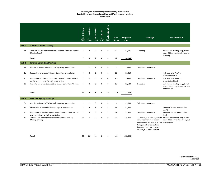#### **South Bayside Waste Management Authority ‐ Rethinkwaste Board of Directors, Finance Committee, and Member Agency Meetings**

**Fee Estimate**

|                |                                                                                                         | D. Hilton<br><u>ئە</u><br>\$275 | T. Swanborn<br>\$240 | M. Sheehan<br>\$145 | Collins<br>ங்<br>\$140 | Administrative<br>\$110 | <b>Total</b><br><b>Hours</b> | Proposed<br>Cost | <b>Meetings</b>                                                                                                                                                               | <b>Work Products</b>                                                                                   |
|----------------|---------------------------------------------------------------------------------------------------------|---------------------------------|----------------------|---------------------|------------------------|-------------------------|------------------------------|------------------|-------------------------------------------------------------------------------------------------------------------------------------------------------------------------------|--------------------------------------------------------------------------------------------------------|
| Task 1         | <b>Additonal Board Meeting</b>                                                                          |                                 |                      |                     |                        |                         |                              |                  |                                                                                                                                                                               |                                                                                                        |
| 1a             | Travel to and presentation at One Additional Board of Director's<br>Meeting (June)                      | $\overline{7}$                  | 8                    | $\overline{2}$      | $\Omega$               | 0                       | 17                           | \$4,135          | 1 meeting                                                                                                                                                                     | Includes pre-meeting prep, travel<br>hours (50%), mtg attendance, and<br>follow-up.                    |
|                | Task 1                                                                                                  | $\overline{7}$                  | 8                    | $\overline{2}$      | $\mathbf{0}$           | $\mathbf 0$             | 17                           | \$4,135          |                                                                                                                                                                               |                                                                                                        |
| Task 2         | <b>Finance Committee Meeting</b>                                                                        |                                 |                      |                     |                        |                         |                              |                  |                                                                                                                                                                               |                                                                                                        |
| 2a             | One discussion with SBWMA staff regarding presentation                                                  | $\mathbf{1}$                    | $\mathbf{1}$         | 1                   | 0                      | $\mathsf 0$             | 3                            | \$660            | Telephone conference                                                                                                                                                          |                                                                                                        |
| 2 <sub>b</sub> | Preparation of one draft Finance Committee presentation                                                 | 6                               | $\overline{4}$       | $\overline{2}$      | $\mathsf 0$            | $\mathbf{1}$            | 13                           | \$3,010          |                                                                                                                                                                               | High level brief PwrPnt<br>presentation (draft)                                                        |
| 2c             | One review of Finance Committee presentation with SBWMA<br>staff and one reivsion to draft presentation | 3                               | $\mathbf 0$          | $\mathbf 0$         | $\mathbf 0$            | 0.5                     | 3.5                          | \$880            | Telephone conference                                                                                                                                                          | High level brief PwrPnt<br>presentation (final)                                                        |
| 2d             | Travel to and presentation at One Finance Committee Meeting                                             | 6                               | $\mathbf 0$          | 6                   | $\Omega$               | $\mathsf 0$             | 12                           | \$2,520          | 1 meeting                                                                                                                                                                     | Includes pre-meeting prep, travel<br>hours (100%), mtg attendance, but<br>no follow-up.                |
|                | Task 2                                                                                                  | 16                              | 5                    | 9                   | $\Omega$               | 1.5                     | 31.5                         | \$7,070          |                                                                                                                                                                               |                                                                                                        |
| Task 3         | <b>Member Agency Meetings</b>                                                                           |                                 |                      |                     |                        |                         |                              |                  |                                                                                                                                                                               |                                                                                                        |
| 3a             | One discussion with SBWMA staff regarding presentation                                                  | $\overline{2}$                  | $\overline{2}$       | $\mathbf 0$         | $\Omega$               | 0                       | $\overline{4}$               | \$1,030          | Telephone conference                                                                                                                                                          |                                                                                                        |
| 3b             | Preparation of one draft Member Agency presentation                                                     | 8                               | 16                   | 8                   | $\mathsf 0$            | 4                       | 36                           | \$7,640          |                                                                                                                                                                               | Summary PwrPnt presentation<br>(draft)                                                                 |
| 3c             | One review of Member Agency presentation with SBWMA staff<br>and one revision to draft presentation     | $\overline{4}$                  | 8                    | $\overline{4}$      | 0                      | $\overline{2}$          | 18                           | \$3,820          | Telephone conference                                                                                                                                                          | Summary PwrPnt presentation<br>(final)                                                                 |
| 3d             | Travel to and meetings with Member Agencies and City<br><b>Managers Group</b>                           | 72                              | $\mathbf 0$          | $\mathbf 0$         | 0                      | 0                       | 72                           | \$19,800         | combined there may be some<br>net savings from reduced travel no follow-up.<br>time partially offset by time<br>between meetings. If so, we<br>will bill you a lesser amount. | 12 meetings. If meetings can be Includes pre-meeting prep, travel<br>hours (100%), mtg attendance, but |
|                | Task 3                                                                                                  | 86                              | 26                   | 12                  | O                      | 6                       | 130                          | \$32,290         |                                                                                                                                                                               |                                                                                                        |

HF&H Consultants, LLC 2/16/2017

\_\_\_\_\_\_\_\_\_\_\_\_\_\_\_\_\_\_\_\_\_\_\_\_\_\_\_\_\_\_\_\_\_\_\_\_\_\_\_\_\_\_\_\_\_\_\_\_\_\_\_\_\_\_\_\_

\_\_\_\_\_\_\_\_\_\_\_\_\_\_\_\_\_\_\_\_\_\_\_\_\_\_\_\_\_\_\_\_\_\_\_\_\_ \_\_\_\_\_\_\_\_\_\_\_\_\_\_\_\_\_\_\_\_\_\_\_\_\_\_\_\_\_\_\_\_\_\_\_\_\_\_\_\_\_\_\_\_\_\_\_\_\_\_\_\_\_\_\_\_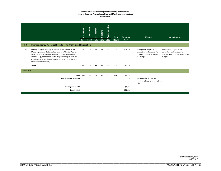#### **South Bayside Waste Management Authority ‐ Rethinkwaste Board of Directors, Finance Committee, and Member Agency Meetings**

**Fee Estimate**

|                    |                                                                                                                                                                                                                                                                                                                                           | R. D. Hilton<br>\$275 | Swanborn<br>\$240 | M. Sheehan<br>\$145 | B. Collins<br>\$140 | Administrative<br>\$110 | <b>Total</b><br><b>Hours</b> | Proposed<br>Cost  | <b>Meetings</b>                                                                                            | <b>Work Products</b>                                                                                       |
|--------------------|-------------------------------------------------------------------------------------------------------------------------------------------------------------------------------------------------------------------------------------------------------------------------------------------------------------------------------------------|-----------------------|-------------------|---------------------|---------------------|-------------------------|------------------------------|-------------------|------------------------------------------------------------------------------------------------------------|------------------------------------------------------------------------------------------------------------|
| Task 4             | <b>Member Agency (Agencies) Issue-Specific Analysis and Negotiation</b>                                                                                                                                                                                                                                                                   |                       |                   |                     |                     |                         |                              |                   |                                                                                                            |                                                                                                            |
| 4a                 | Identify, analyze, and help to resolve issues related to the<br>Model Agreement that are of concern to a Member Agency<br>and/or groups of Member Agencies that share a common<br>concern (e.g., abandoned waste/illegal dumping; mixed use<br>complexes; cost attribution for residential, commercial, and<br>other franchise services). | 40                    | 20                | 50                  | 16                  | 0                       | 126                          | \$25,290          | As required, subject to FAX<br>committee authorization to<br>proceed and up to the limits of<br>the budget | As required, subject to FAX<br>committee authorization to<br>proceed and up to the limits of the<br>budget |
|                    | Task 4                                                                                                                                                                                                                                                                                                                                    | 40                    | 20                | 50                  | 16                  | 0                       | 126                          | \$25,290          |                                                                                                            |                                                                                                            |
| <b>Total Costs</b> |                                                                                                                                                                                                                                                                                                                                           |                       |                   |                     |                     |                         |                              |                   |                                                                                                            |                                                                                                            |
|                    | Labor<br><b>Out-of-Pocket Expenses</b>                                                                                                                                                                                                                                                                                                    | 149                   | 59                | 73                  | 16                  | 7.5                     | 304.5                        | \$68,785<br>\$840 | If fewer than 14 trips are<br>required a lesser amount will be<br>billed.                                  |                                                                                                            |
|                    | Contingency at 10%                                                                                                                                                                                                                                                                                                                        |                       |                   |                     |                     |                         |                              | \$6,963           |                                                                                                            |                                                                                                            |
|                    | <b>Total Budget</b>                                                                                                                                                                                                                                                                                                                       |                       |                   |                     |                     |                         |                              | \$76,588          |                                                                                                            |                                                                                                            |

HF&H Consultants, LLC 2/16/2017

\_\_\_\_\_\_\_\_\_\_\_\_\_\_\_\_\_\_\_\_\_\_\_\_\_\_\_\_\_\_\_\_\_\_\_\_\_\_\_\_\_\_\_\_\_\_\_\_\_\_\_\_\_\_\_\_